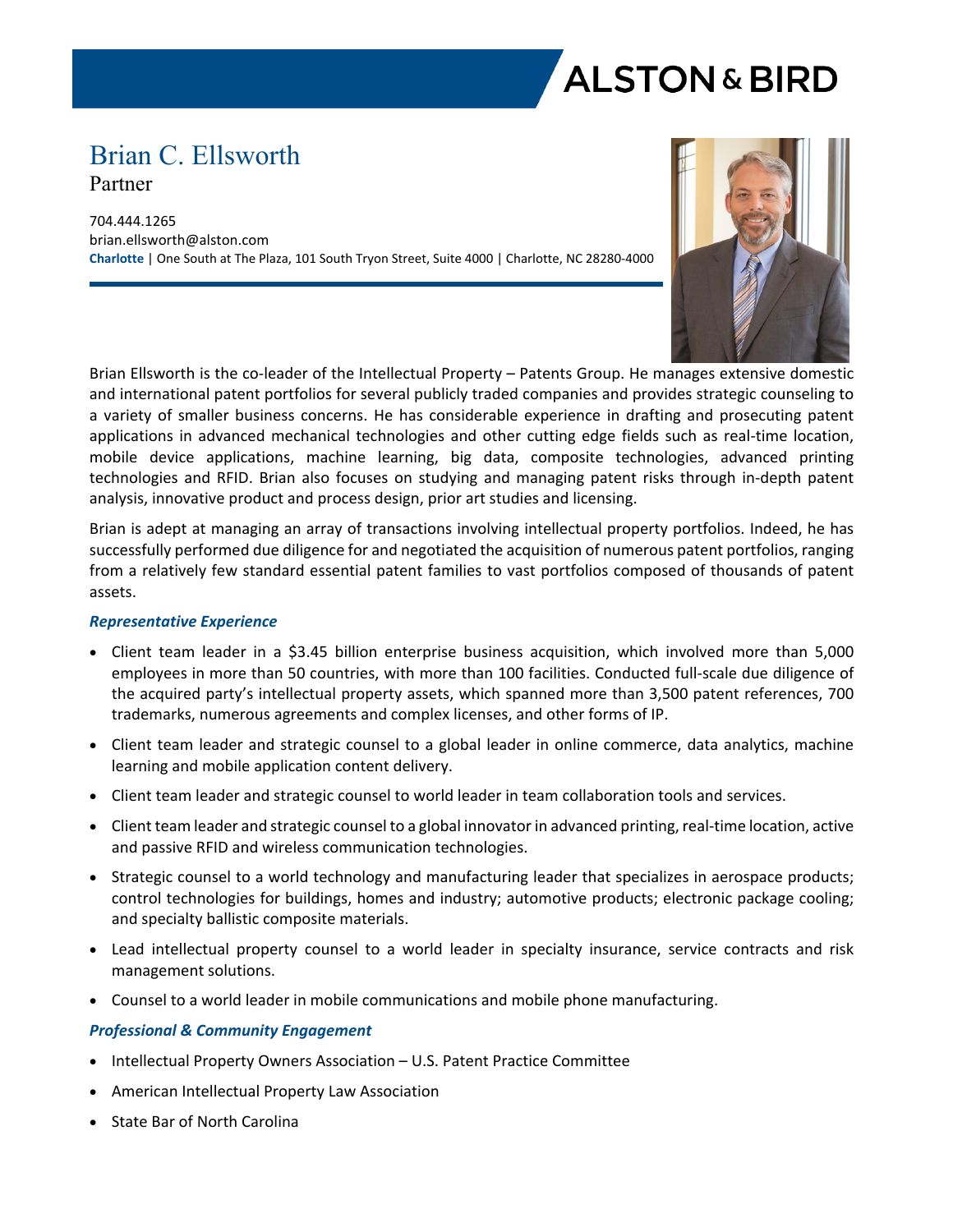

# Brian C. Ellsworth Partner

704.444.1265 brian.ellsworth@alston.com **Charlotte** | One South at The Plaza, 101 South Tryon Street, Suite 4000 | Charlotte, NC 28280-4000



Brian Ellsworth is the co-leader of the Intellectual Property – Patents Group. He manages extensive domestic and international patent portfolios for several publicly traded companies and provides strategic counseling to a variety of smaller business concerns. He has considerable experience in drafting and prosecuting patent applications in advanced mechanical technologies and other cutting edge fields such as real-time location, mobile device applications, machine learning, big data, composite technologies, advanced printing technologies and RFID. Brian also focuses on studying and managing patent risks through in-depth patent analysis, innovative product and process design, prior art studies and licensing.

Brian is adept at managing an array of transactions involving intellectual property portfolios. Indeed, he has successfully performed due diligence for and negotiated the acquisition of numerous patent portfolios, ranging from a relatively few standard essential patent families to vast portfolios composed of thousands of patent assets.

#### *Representative Experience*

- Client team leader in a \$3.45 billion enterprise business acquisition, which involved more than 5,000 employees in more than 50 countries, with more than 100 facilities. Conducted full-scale due diligence of the acquired party's intellectual property assets, which spanned more than 3,500 patent references, 700 trademarks, numerous agreements and complex licenses, and other forms of IP.
- Client team leader and strategic counsel to a global leader in online commerce, data analytics, machine learning and mobile application content delivery.
- Client team leader and strategic counsel to world leader in team collaboration tools and services.
- Client team leader and strategic counsel to a global innovator in advanced printing, real-time location, active and passive RFID and wireless communication technologies.
- Strategic counsel to a world technology and manufacturing leader that specializes in aerospace products; control technologies for buildings, homes and industry; automotive products; electronic package cooling; and specialty ballistic composite materials.
- Lead intellectual property counsel to a world leader in specialty insurance, service contracts and risk management solutions.
- Counsel to a world leader in mobile communications and mobile phone manufacturing.

# *Professional & Community Engagement*

- Intellectual Property Owners Association U.S. Patent Practice Committee
- American Intellectual Property Law Association
- State Bar of North Carolina